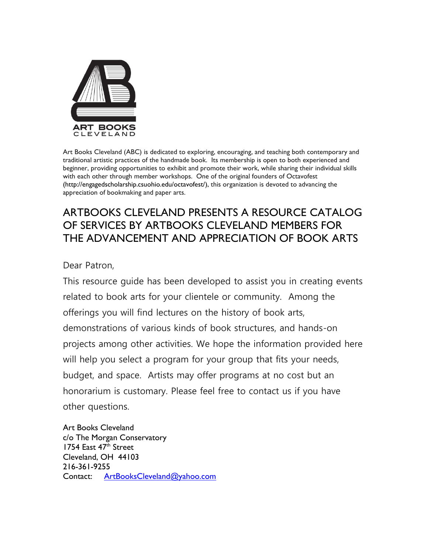

Art Books Cleveland (ABC) is dedicated to exploring, encouraging, and teaching both contemporary and traditional artistic practices of the handmade book. Its membership is open to both experienced and beginner, providing opportunities to exhibit and promote their work, while sharing their individual skills with each other through member workshops. One of the original founders of Octavofest (http://engagedscholarship.csuohio.edu/octavofest/), this organization is devoted to advancing the appreciation of bookmaking and paper arts.

## ARTBOOKS CLEVELAND PRESENTS A RESOURCE CATALOG OF SERVICES BY ARTBOOKS CLEVELAND MEMBERS FOR THE ADVANCEMENT AND APPRECIATION OF BOOK ARTS

Dear Patron,

This resource guide has been developed to assist you in creating events related to book arts for your clientele or community. Among the offerings you will find lectures on the history of book arts, demonstrations of various kinds of book structures, and hands-on projects among other activities. We hope the information provided here will help you select a program for your group that fits your needs, budget, and space. Artists may offer programs at no cost but an honorarium is customary. Please feel free to contact us if you have other questions.

Art Books Cleveland c/o The Morgan Conservatory 1754 East 47<sup>th</sup> Street Cleveland, OH 44103 216-361-9255 Contact: [ArtBooksCleveland@yahoo.com](mailto:ArtBooksCleveland@yahoo.com)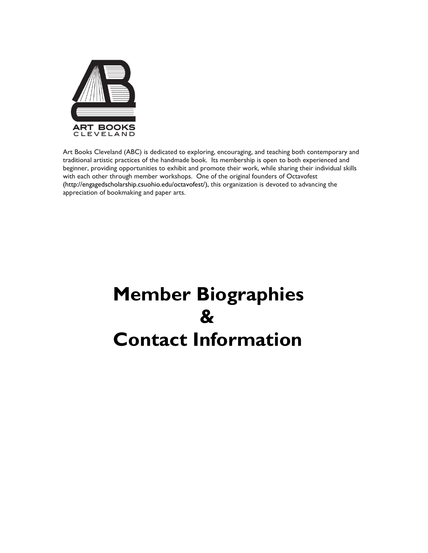

Art Books Cleveland (ABC) is dedicated to exploring, encouraging, and teaching both contemporary and traditional artistic practices of the handmade book. Its membership is open to both experienced and beginner, providing opportunities to exhibit and promote their work, while sharing their individual skills with each other through member workshops. One of the original founders of Octavofest (http://engagedscholarship.csuohio.edu/octavofest/), this organization is devoted to advancing the appreciation of bookmaking and paper arts.

# **Member Biographies & Contact Information**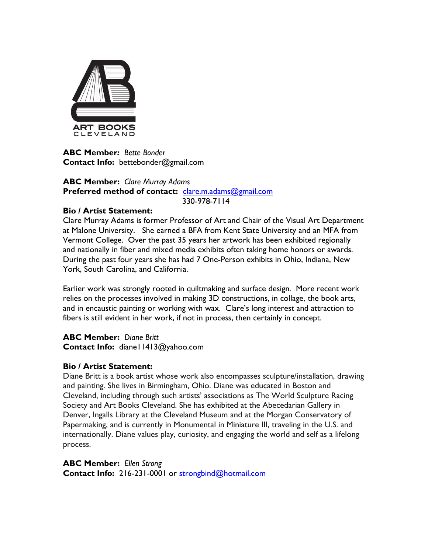

**ABC Member***: Bette Bonder* **Contact Info:** bettebonder@gmail.com

#### **ABC Member:** *Clare Murray Adams* **Preferred method of contact:** [clare.m.adams@gmail.com](mailto:clare.m.adams@gmail.com) 330-978-7114

## **Bio / Artist Statement:**

Clare Murray Adams is former Professor of Art and Chair of the Visual Art Department at Malone University. She earned a BFA from Kent State University and an MFA from Vermont College. Over the past 35 years her artwork has been exhibited regionally and nationally in fiber and mixed media exhibits often taking home honors or awards. During the past four years she has had 7 One-Person exhibits in Ohio, Indiana, New York, South Carolina, and California.

Earlier work was strongly rooted in quiltmaking and surface design. More recent work relies on the processes involved in making 3D constructions, in collage, the book arts, and in encaustic painting or working with wax. Clare's long interest and attraction to fibers is still evident in her work, if not in process, then certainly in concept.

**ABC Member:** *Diane Britt* **Contact Info:** diane11413@yahoo.com

### **Bio / Artist Statement:**

Diane Britt is a book artist whose work also encompasses sculpture/installation, drawing and painting. She lives in Birmingham, Ohio. Diane was educated in Boston and Cleveland, including through such artists' associations as The World Sculpture Racing Society and Art Books Cleveland. She has exhibited at the Abecedarian Gallery in Denver, Ingalls Library at the Cleveland Museum and at the Morgan Conservatory of Papermaking, and is currently in Monumental in Miniature III, traveling in the U.S. and internationally. Diane values play, curiosity, and engaging the world and self as a lifelong process.

**ABC Member:** *Ellen Strong* **Contact Info:** 216-231-0001 or [strongbind@hotmail.com](mailto:strongbind@hotmail.com)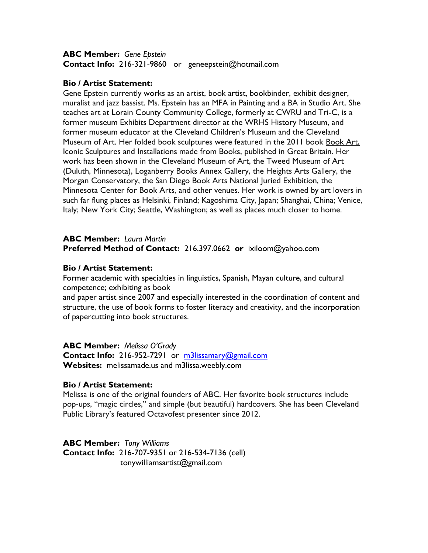#### **ABC Member:** *Gene Epstein* **Contact Info:** 216-321-9860 or geneepstein@hotmail.com

#### **Bio / Artist Statement:**

Gene Epstein currently works as an artist, book artist, bookbinder, exhibit designer, muralist and jazz bassist. Ms. Epstein has an MFA in Painting and a BA in Studio Art. She teaches art at Lorain County Community College, formerly at CWRU and Tri-C, is a former museum Exhibits Department director at the WRHS History Museum, and former museum educator at the Cleveland Children's Museum and the Cleveland Museum of Art. Her folded book sculptures were featured in the 2011 book Book Art, Iconic Sculptures and Installations made from Books, published in Great Britain. Her work has been shown in the Cleveland Museum of Art, the Tweed Museum of Art (Duluth, Minnesota), Loganberry Books Annex Gallery, the Heights Arts Gallery, the Morgan Conservatory, the San Diego Book Arts National Juried Exhibition, the Minnesota Center for Book Arts, and other venues. Her work is owned by art lovers in such far flung places as Helsinki, Finland; Kagoshima City, Japan; Shanghai, China; Venice, Italy; New York City; Seattle, Washington; as well as places much closer to home.

#### **ABC Member:** *Laura Martin* **Preferred Method of Contact:** 216.397.0662 **or** ixiloom@yahoo.com

#### **Bio / Artist Statement:**

Former academic with specialties in linguistics, Spanish, Mayan culture, and cultural competence; exhibiting as book

and paper artist since 2007 and especially interested in the coordination of content and structure, the use of book forms to foster literacy and creativity, and the incorporation of papercutting into book structures.

### **ABC Member:** *Melissa O'Grady*

**Contact Info:** 216-952-7291 or [m3lissamary@gmail.com](mailto:m3lissamary@gmail.com) **Websites:** melissamade.us and m3lissa.weebly.com

### **Bio / Artist Statement:**

Melissa is one of the original founders of ABC. Her favorite book structures include pop-ups, "magic circles," and simple (but beautiful) hardcovers. She has been Cleveland Public Library's featured Octavofest presenter since 2012.

**ABC Member:** *Tony Williams* **Contact Info:** 216-707-9351 or 216-534-7136 (cell) tonywilliamsartist@gmail.com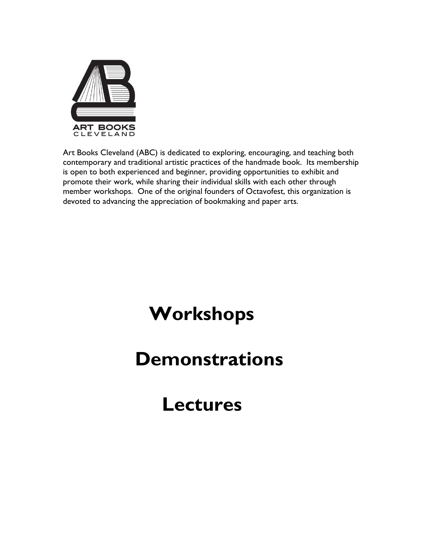

Art Books Cleveland (ABC) is dedicated to exploring, encouraging, and teaching both contemporary and traditional artistic practices of the handmade book. Its membership is open to both experienced and beginner, providing opportunities to exhibit and promote their work, while sharing their individual skills with each other through member workshops. One of the original founders of Octavofest, this organization is devoted to advancing the appreciation of bookmaking and paper arts.

# **Workshops**

## **Demonstrations**

## **Lectures**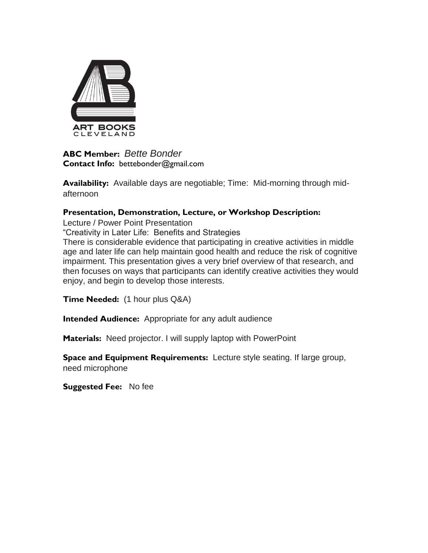

**ABC Member:** *Bette Bonder* **Contact Info:** bettebonder@gmail.com

**Availability:** Available days are negotiable; Time: Mid-morning through midafternoon

## **Presentation, Demonstration, Lecture, or Workshop Description:**

Lecture / Power Point Presentation "Creativity in Later Life: Benefits and Strategies There is considerable evidence that participating in creative activities in middle age and later life can help maintain good health and reduce the risk of cognitive impairment. This presentation gives a very brief overview of that research, and then focuses on ways that participants can identify creative activities they would enjoy, and begin to develop those interests.

**Time Needed:** (1 hour plus Q&A)

**Intended Audience:** Appropriate for any adult audience

**Materials:** Need projector. I will supply laptop with PowerPoint

**Space and Equipment Requirements:** Lecture style seating. If large group, need microphone

**Suggested Fee:** No fee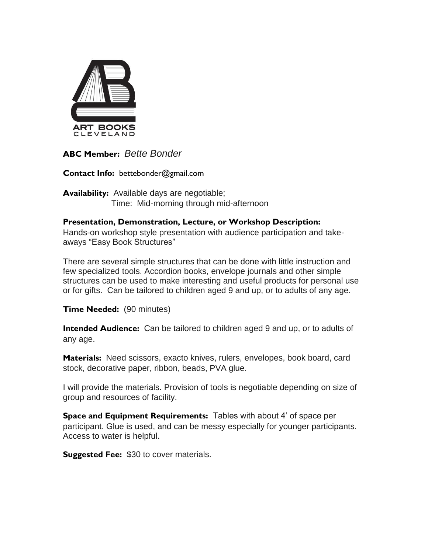

**ABC Member:** *Bette Bonder*

**Contact Info:** bettebonder@gmail.com

**Availability:** Available days are negotiable; Time: Mid-morning through mid-afternoon

## **Presentation, Demonstration, Lecture, or Workshop Description:**

Hands-on workshop style presentation with audience participation and takeaways "Easy Book Structures"

There are several simple structures that can be done with little instruction and few specialized tools. Accordion books, envelope journals and other simple structures can be used to make interesting and useful products for personal use or for gifts. Can be tailored to children aged 9 and up, or to adults of any age.

**Time Needed:** (90 minutes)

**Intended Audience:** Can be tailored to children aged 9 and up, or to adults of any age.

**Materials:** Need scissors, exacto knives, rulers, envelopes, book board, card stock, decorative paper, ribbon, beads, PVA glue.

I will provide the materials. Provision of tools is negotiable depending on size of group and resources of facility.

**Space and Equipment Requirements:** Tables with about 4' of space per participant. Glue is used, and can be messy especially for younger participants. Access to water is helpful.

**Suggested Fee:** \$30 to cover materials.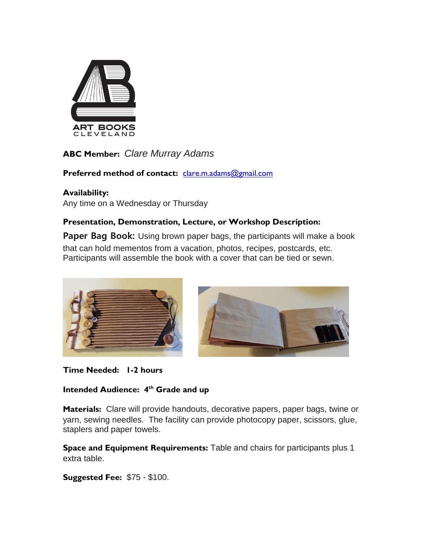

**ABC Member:** *Clare Murray Adams*

Preferred method of contact: [clare.m.adams@gmail.com](mailto:clare.m.adams@gmail.com)

## **Availability:**

Any time on a Wednesday or Thursday

## **Presentation, Demonstration, Lecture, or Workshop Description:**

**Paper Bag Book:** Using brown paper bags, the participants will make a book that can hold mementos from a vacation, photos, recipes, postcards, etc. Participants will assemble the book with a cover that can be tied or sewn.



**Time Needed: 1-2 hours**

## **Intended Audience: 4th Grade and up**

**Materials:** Clare will provide handouts, decorative papers, paper bags, twine or yarn, sewing needles. The facility can provide photocopy paper, scissors, glue, staplers and paper towels.

**Space and Equipment Requirements:** Table and chairs for participants plus 1 extra table.

**Suggested Fee:** \$75 - \$100.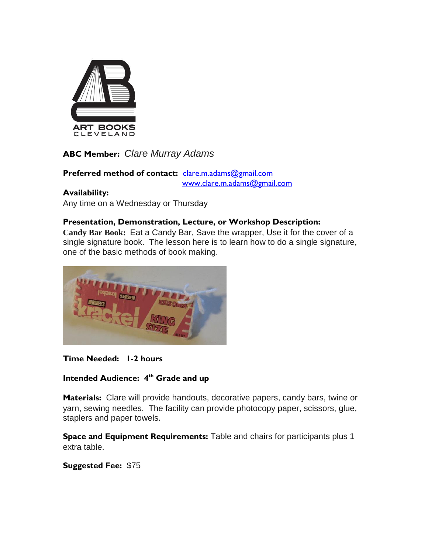

**ABC Member:** *Clare Murray Adams*

Preferred method of contact: [clare.m.adams@gmail.com](mailto:clare.m.adams@gmail.com) [www.clare.m.adams@gmail.com](http://www.clare.m.adams@gmail.com/)

## **Availability:**

Any time on a Wednesday or Thursday

## **Presentation, Demonstration, Lecture, or Workshop Description:**

**Candy Bar Book:** Eat a Candy Bar, Save the wrapper, Use it for the cover of a single signature book. The lesson here is to learn how to do a single signature, one of the basic methods of book making.



## **Time Needed: 1-2 hours**

## **Intended Audience: 4th Grade and up**

**Materials:** Clare will provide handouts, decorative papers, candy bars, twine or yarn, sewing needles. The facility can provide photocopy paper, scissors, glue, staplers and paper towels.

**Space and Equipment Requirements:** Table and chairs for participants plus 1 extra table.

**Suggested Fee:** \$75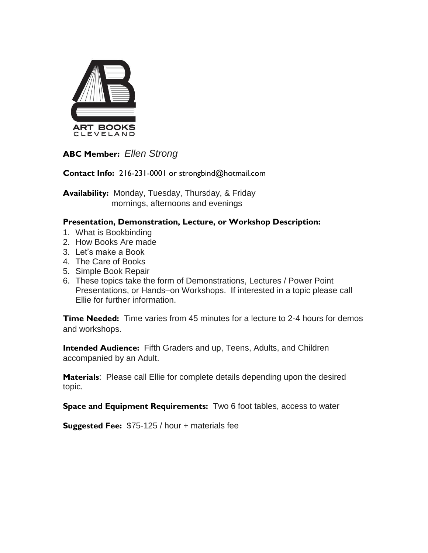

**ABC Member:** *Ellen Strong*

**Contact Info:** 216-231-0001 or strongbind@hotmail.com

**Availability:** Monday, Tuesday, Thursday, & Friday mornings, afternoons and evenings

## **Presentation, Demonstration, Lecture, or Workshop Description:**

- 1. What is Bookbinding
- 2. How Books Are made
- 3. Let's make a Book
- 4. The Care of Books
- 5. Simple Book Repair
- 6. These topics take the form of Demonstrations, Lectures / Power Point Presentations, or Hands–on Workshops. If interested in a topic please call Ellie for further information.

**Time Needed:** Time varies from 45 minutes for a lecture to 2-4 hours for demos and workshops.

**Intended Audience:** Fifth Graders and up, Teens, Adults, and Children accompanied by an Adult.

**Materials**: Please call Ellie for complete details depending upon the desired topic.

**Space and Equipment Requirements:** Two 6 foot tables, access to water

**Suggested Fee:** \$75-125 / hour + materials fee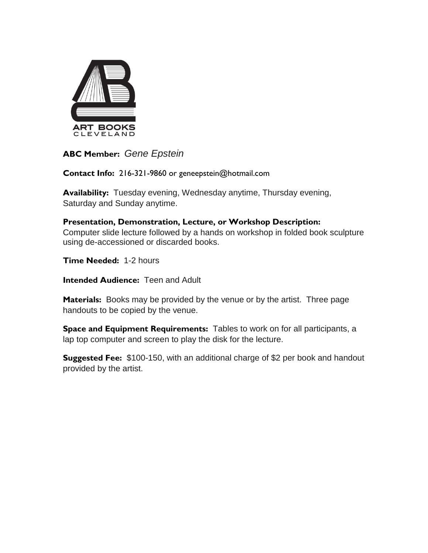

**ABC Member:** *Gene Epstein*

**Contact Info:** 216-321-9860 or geneepstein@hotmail.com

**Availability:** Tuesday evening, Wednesday anytime, Thursday evening, Saturday and Sunday anytime.

**Presentation, Demonstration, Lecture, or Workshop Description:** Computer slide lecture followed by a hands on workshop in folded book sculpture using de-accessioned or discarded books.

**Time Needed:** 1-2 hours

**Intended Audience: Teen and Adult** 

**Materials:** Books may be provided by the venue or by the artist. Three page handouts to be copied by the venue.

**Space and Equipment Requirements:** Tables to work on for all participants, a lap top computer and screen to play the disk for the lecture.

**Suggested Fee:** \$100-150, with an additional charge of \$2 per book and handout provided by the artist.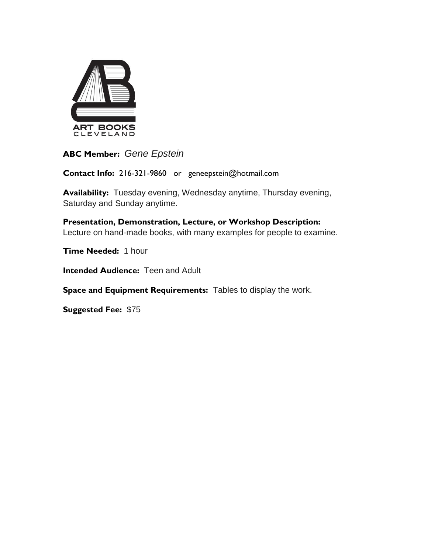

**ABC Member:** *Gene Epstein*

**Contact Info:** 216-321-9860 or geneepstein@hotmail.com

**Availability:** Tuesday evening, Wednesday anytime, Thursday evening, Saturday and Sunday anytime.

**Presentation, Demonstration, Lecture, or Workshop Description:** Lecture on hand-made books, with many examples for people to examine.

**Time Needed:** 1 hour

**Intended Audience: Teen and Adult** 

**Space and Equipment Requirements:** Tables to display the work.

**Suggested Fee:** \$75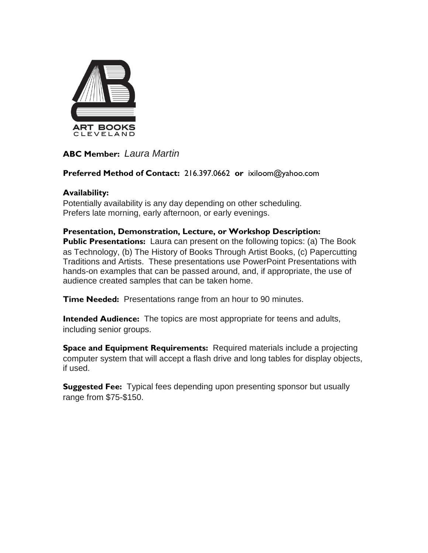

## **ABC Member:** *Laura Martin*

## **Preferred Method of Contact:** 216.397.0662 **or** ixiloom@yahoo.com

## **Availability:**

Potentially availability is any day depending on other scheduling. Prefers late morning, early afternoon, or early evenings.

### **Presentation, Demonstration, Lecture, or Workshop Description:**

**Public Presentations:** Laura can present on the following topics: (a) The Book as Technology, (b) The History of Books Through Artist Books, (c) Papercutting Traditions and Artists. These presentations use PowerPoint Presentations with hands-on examples that can be passed around, and, if appropriate, the use of audience created samples that can be taken home.

**Time Needed:** Presentations range from an hour to 90 minutes.

**Intended Audience:** The topics are most appropriate for teens and adults, including senior groups.

**Space and Equipment Requirements:** Required materials include a projecting computer system that will accept a flash drive and long tables for display objects, if used.

**Suggested Fee:** Typical fees depending upon presenting sponsor but usually range from \$75-\$150.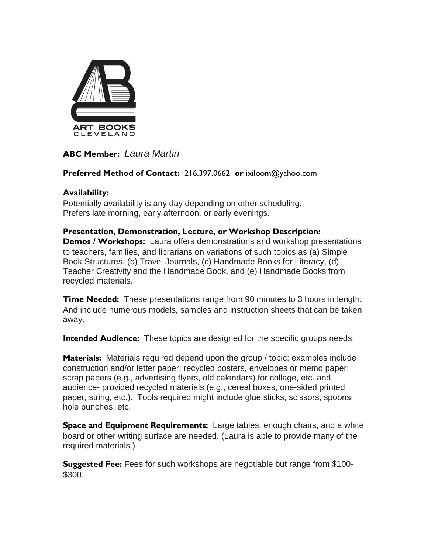

## **ABC Member:** *Laura Martin*

## **Preferred Method of Contact:** 216.397.0662 **or** ixiloom@yahoo.com

## **Availability:**

Potentially availability is any day depending on other scheduling. Prefers late morning, early afternoon, or early evenings.

#### **Presentation, Demonstration, Lecture, or Workshop Description: Demos / Workshops:** Laura offers demonstrations and workshop presentations to teachers, families, and librarians on variations of such topics as (a) Simple Book Structures, (b) Travel Journals, (c) Handmade Books for Literacy, (d) Teacher Creativity and the Handmade Book, and (e) Handmade Books from recycled materials.

**Time Needed:** These presentations range from 90 minutes to 3 hours in length. And include numerous models, samples and instruction sheets that can be taken away.

**Intended Audience:** These topics are designed for the specific groups needs.

**Materials:** Materials required depend upon the group / topic; examples include construction and/or letter paper; recycled posters, envelopes or memo paper; scrap papers (e.g., advertising flyers, old calendars) for collage, etc. and audience- provided recycled materials (e.g., cereal boxes, one-sided printed paper, string, etc.). Tools required might include glue sticks, scissors, spoons, hole punches, etc.

**Space and Equipment Requirements:** Large tables, enough chairs, and a white board or other writing surface are needed. (Laura is able to provide many of the required materials.)

**Suggested Fee:** Fees for such workshops are negotiable but range from \$100- \$300.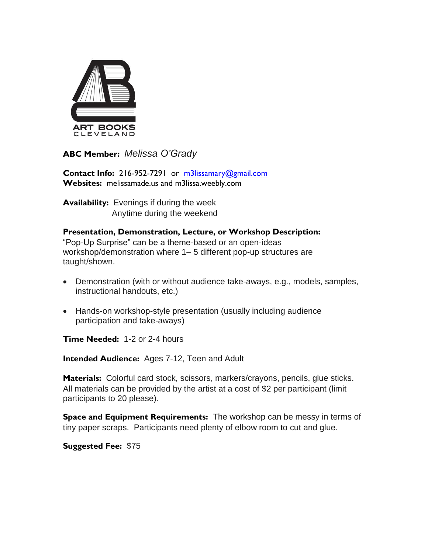

**ABC Member:** *Melissa O'Grady*

**Contact Info:** 216-952-7291 or [m3lissamary@gmail.com](mailto:m3lissamary@gmail.com) **Websites:** melissamade.us and m3lissa.weebly.com

**Availability:** Evenings if during the week Anytime during the weekend

**Presentation, Demonstration, Lecture, or Workshop Description:** "Pop-Up Surprise" can be a theme-based or an open-ideas workshop/demonstration where 1– 5 different pop-up structures are taught/shown.

- Demonstration (with or without audience take-aways, e.g., models, samples, instructional handouts, etc.)
- Hands-on workshop-style presentation (usually including audience participation and take-aways)

**Time Needed:** 1-2 or 2-4 hours

**Intended Audience:** Ages 7-12, Teen and Adult

**Materials:** Colorful card stock, scissors, markers/crayons, pencils, glue sticks. All materials can be provided by the artist at a cost of \$2 per participant (limit participants to 20 please).

**Space and Equipment Requirements:** The workshop can be messy in terms of tiny paper scraps. Participants need plenty of elbow room to cut and glue.

**Suggested Fee:** \$75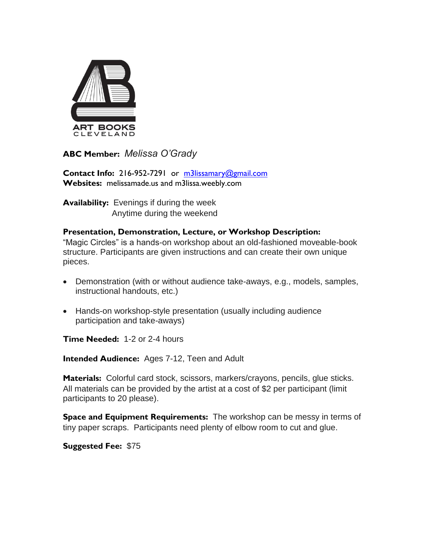

**ABC Member:** *Melissa O'Grady*

**Contact Info:** 216-952-7291 or [m3lissamary@gmail.com](mailto:m3lissamary@gmail.com) **Websites:** melissamade.us and m3lissa.weebly.com

**Availability:** Evenings if during the week Anytime during the weekend

## **Presentation, Demonstration, Lecture, or Workshop Description:**

"Magic Circles" is a hands-on workshop about an old-fashioned moveable-book structure. Participants are given instructions and can create their own unique pieces.

- Demonstration (with or without audience take-aways, e.g., models, samples, instructional handouts, etc.)
- Hands-on workshop-style presentation (usually including audience participation and take-aways)

**Time Needed:** 1-2 or 2-4 hours

**Intended Audience:** Ages 7-12, Teen and Adult

**Materials:** Colorful card stock, scissors, markers/crayons, pencils, glue sticks. All materials can be provided by the artist at a cost of \$2 per participant (limit participants to 20 please).

**Space and Equipment Requirements:** The workshop can be messy in terms of tiny paper scraps. Participants need plenty of elbow room to cut and glue.

**Suggested Fee:** \$75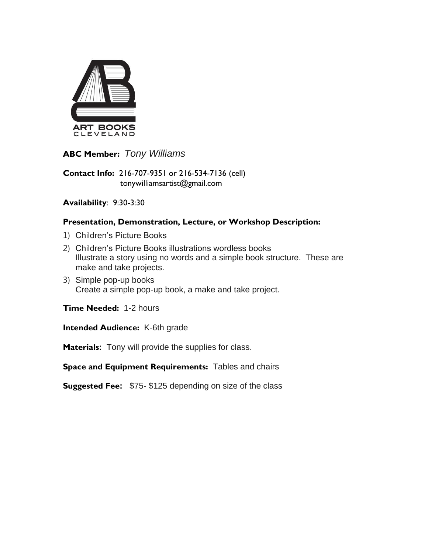

**ABC Member:** *Tony Williams*

**Contact Info:** 216-707-9351 or 216-534-7136 (cell) tonywilliamsartist@gmail.com

## **Availability**: 9:30-3:30

## **Presentation, Demonstration, Lecture, or Workshop Description:**

- 1) Children's Picture Books
- 2) Children's Picture Books illustrations wordless books Illustrate a story using no words and a simple book structure. These are make and take projects.
- 3) Simple pop-up books Create a simple pop-up book, a make and take project.

**Time Needed:** 1-2 hours

**Intended Audience:** K-6th grade

**Materials:** Tony will provide the supplies for class.

**Space and Equipment Requirements:** Tables and chairs

**Suggested Fee:** \$75- \$125 depending on size of the class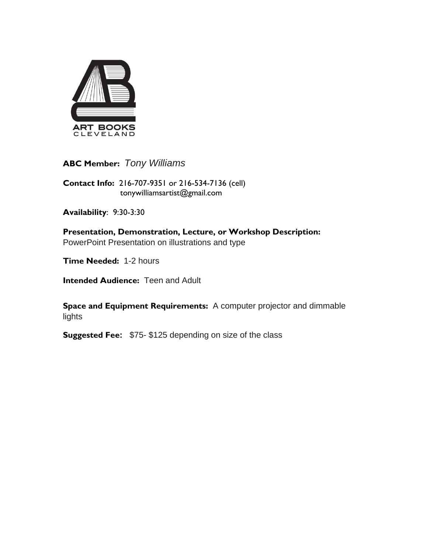

**ABC Member:** *Tony Williams*

**Contact Info:** 216-707-9351 or 216-534-7136 (cell) tonywilliamsartist@gmail.com

**Availability**: 9:30-3:30

**Presentation, Demonstration, Lecture, or Workshop Description:** PowerPoint Presentation on illustrations and type

**Time Needed:** 1-2 hours

**Intended Audience: Teen and Adult** 

**Space and Equipment Requirements:** A computer projector and dimmable lights

**Suggested Fee:** \$75- \$125 depending on size of the class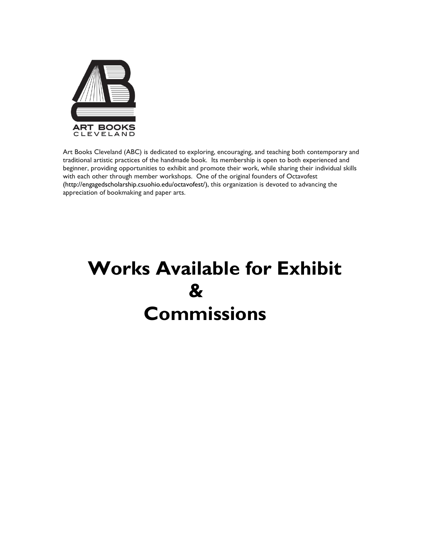

Art Books Cleveland (ABC) is dedicated to exploring, encouraging, and teaching both contemporary and traditional artistic practices of the handmade book. Its membership is open to both experienced and beginner, providing opportunities to exhibit and promote their work, while sharing their individual skills with each other through member workshops. One of the original founders of Octavofest (http://engagedscholarship.csuohio.edu/octavofest/), this organization is devoted to advancing the appreciation of bookmaking and paper arts.

## **Works Available for Exhibit & Commissions**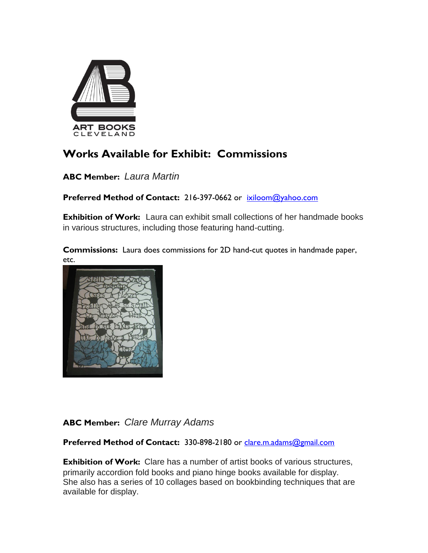

## **Works Available for Exhibit: Commissions**

**ABC Member:** *Laura Martin*

**Preferred Method of Contact:** 216-397-0662 or[ixiloom@yahoo.com](mailto:ixiloom@yahoo.com)

**Exhibition of Work:** Laura can exhibit small collections of her handmade books in various structures, including those featuring hand-cutting.

**Commissions:** Laura does commissions for 2D hand-cut quotes in handmade paper, etc.



## **ABC Member:** *Clare Murray Adams*

Preferred Method of Contact: 330-898-2180 or [clare.m.adams@gmail.com](mailto:clare.m.adams@gmail.com)

**Exhibition of Work:** Clare has a number of artist books of various structures, primarily accordion fold books and piano hinge books available for display. She also has a series of 10 collages based on bookbinding techniques that are available for display.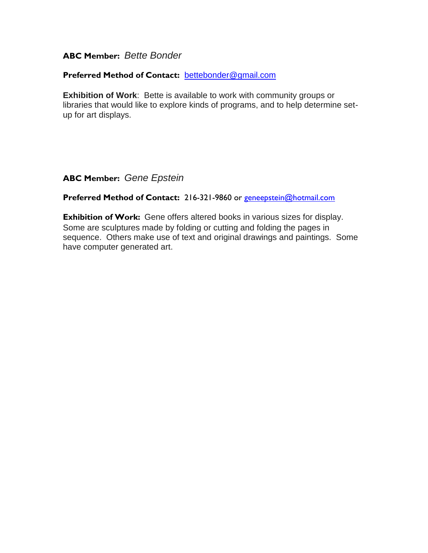## **ABC Member:** *Bette Bonder*

#### **Preferred Method of Contact:** [bettebonder@gmail.com](mailto:bettebonder@gmail.com)

**Exhibition of Work**: Bette is available to work with community groups or libraries that would like to explore kinds of programs, and to help determine setup for art displays.

**ABC Member:** *Gene Epstein*

#### Preferred Method of Contact: 216-321-9860 or [geneepstein@hotmail.com](mailto:geneepstein@hotmail.com)

**Exhibition of Work:** Gene offers altered books in various sizes for display. Some are sculptures made by folding or cutting and folding the pages in sequence. Others make use of text and original drawings and paintings. Some have computer generated art.